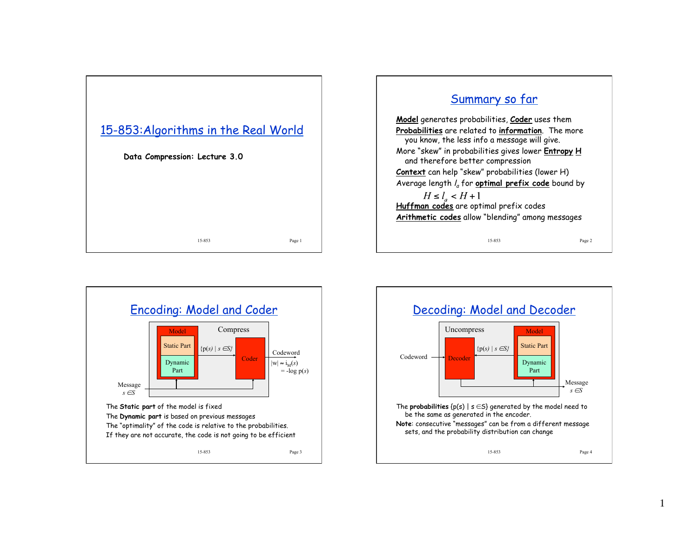

## Summary so far

**Model** generates probabilities, **Coder** uses them **Probabilities** are related to **information**. The more you know, the less info a message will give. More "skew" in probabilities gives lower **Entropy H** and therefore better compression **Context** can help "skew" probabilities (lower H) Average length  $l_a$  for **optimal prefix code** bound by  $H \le l_{a} < H + 1$ **Huffman codes** are optimal prefix codes **Arithmetic codes** allow "blending" among messages

15-853 Page 2



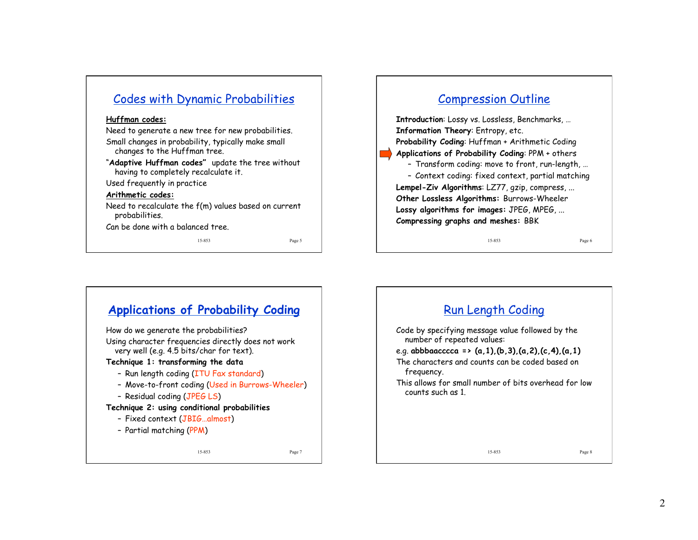## Codes with Dynamic Probabilities

### **Huffman codes:**

Need to generate a new tree for new probabilities. Small changes in probability, typically make small changes to the Huffman tree.

"**Adaptive Huffman codes"** update the tree without having to completely recalculate it.

Used frequently in practice

### **Arithmetic codes:**

Need to recalculate the f(m) values based on current probabilities.

Can be done with a balanced tree.

15-853 Page 5

## Compression Outline

**Introduction**: Lossy vs. Lossless, Benchmarks, … **Information Theory**: Entropy, etc. **Probability Coding**: Huffman + Arithmetic Coding **Applications of Probability Coding**: PPM + others – Transform coding: move to front, run-length, … – Context coding: fixed context, partial matching **Lempel-Ziv Algorithms**: LZ77, gzip, compress, ... **Other Lossless Algorithms:** Burrows-Wheeler **Lossy algorithms for images:** JPEG, MPEG, ... **Compressing graphs and meshes:** BBK

15-853 Page 6

## 15-853 Page 7 **Applications of Probability Coding** How do we generate the probabilities? Using character frequencies directly does not work very well (e.g. 4.5 bits/char for text). **Technique 1: transforming the data** – Run length coding (ITU Fax standard) – Move-to-front coding (Used in Burrows-Wheeler) – Residual coding (JPEG LS) **Technique 2: using conditional probabilities**  – Fixed context (JBIG…almost) – Partial matching (PPM)

# 15-853 Page 8 Run Length Coding Code by specifying message value followed by the number of repeated values: e.g. **abbbaacccca => (a,1),(b,3),(a,2),(c,4),(a,1)**  The characters and counts can be coded based on frequency. This allows for small number of bits overhead for low counts such as 1.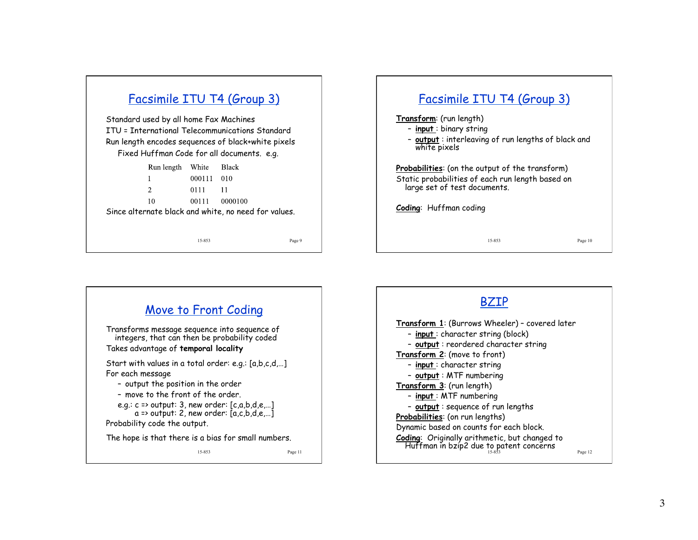# Facsimile ITU T4 (Group 3)

Standard used by all home Fax Machines ITU = International Telecommunications Standard Run length encodes sequences of black+white pixels Fixed Huffman Code for all documents. e.g.

|                                                      | Run length White Black |               |      |  |  |  |  |  |
|------------------------------------------------------|------------------------|---------------|------|--|--|--|--|--|
|                                                      |                        | 000111 010    |      |  |  |  |  |  |
|                                                      | $\mathfrak{D}$         | 0111          | - 11 |  |  |  |  |  |
|                                                      | 10                     | 00111 0000100 |      |  |  |  |  |  |
| Since alternate black and white, no need for values. |                        |               |      |  |  |  |  |  |
|                                                      |                        |               |      |  |  |  |  |  |

#### 15-853 Page 9





### BZIP

Huffman in bzip2 due to patent concerns  $\mathbb{P}_{\sf age\ 12}$ **Transform 1**: (Burrows Wheeler) – covered later – **input** : character string (block) – **output** : reordered character string **Transform 2**: (move to front) – **input** : character string – **output** : MTF numbering **Transform 3**: (run length) – **input** : MTF numbering – **output** : sequence of run lengths **Probabilities**: (on run lengths) Dynamic based on counts for each block. **Coding**: Originally arithmetic, but changed to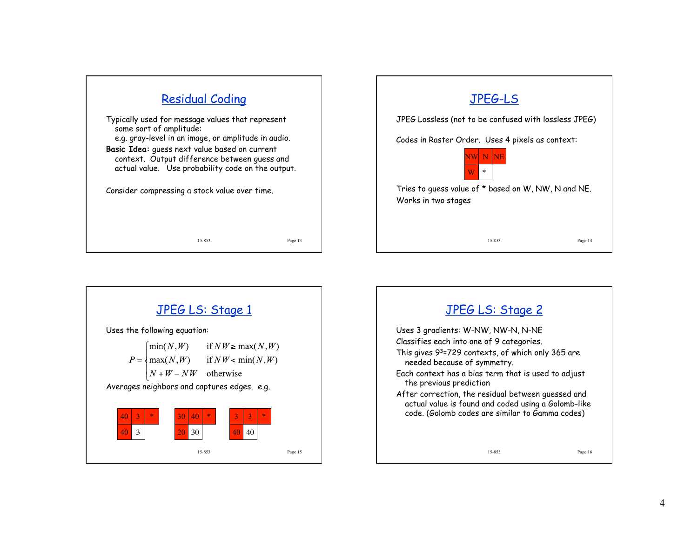





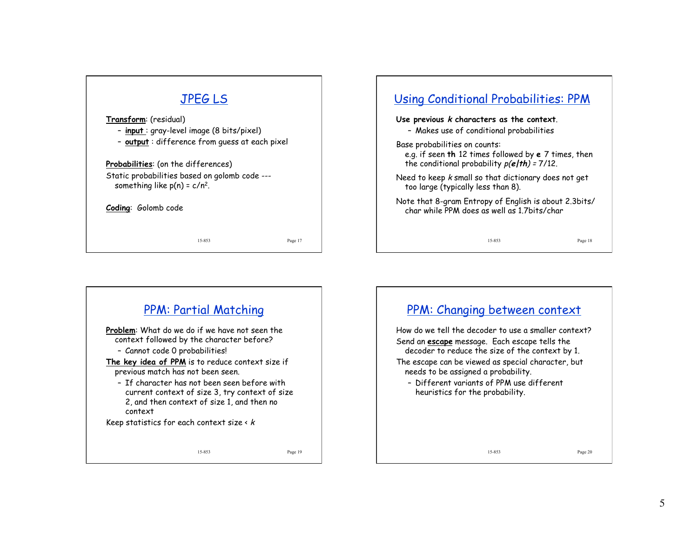# JPEG LS

**Transform**: (residual)

- **input** : gray-level image (8 bits/pixel)
- **output** : difference from guess at each pixel

**Probabilities**: (on the differences) Static probabilities based on golomb code -- something like  $p(n) = c/n^2$ .

**Coding**: Golomb code

15-853 Page 17

# 15-853 Page 18 Using Conditional Probabilities: PPM **Use previous k characters as the context**. – Makes use of conditional probabilities Base probabilities on counts: e.g. if seen **th** 12 times followed by **e** 7 times, then the conditional probability p(**e|th**) = 7/12. Need to keep k small so that dictionary does not get too large (typically less than 8). Note that 8-gram Entropy of English is about 2.3bits/ char while PPM does as well as 1.7bits/char